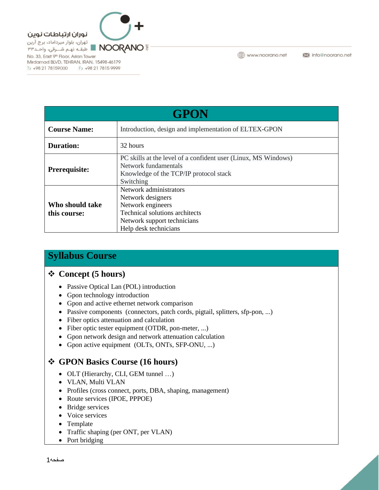نوران ارتباطات نوين تھران، بلوار میرداماد، برج آرین

T> +98 21 78159000 F> +98 21 7815 9999

تهرن، بیوار میرداماد، برج ارین<br>≌ NOORANO ■ طبقـه نهـم شــرقی، واحـد۳۳ No. 33, East 9th Floor, Arian Tower Mirdamad BLVD, TEHRAN, IRAN, 15498-46179

**GPON Course Name:** Introduction, design and implementation of ELTEX-GPON **Duration:** 1 32 hours PC skills at the level of a confident user (Linux, MS Windows) Network fundamentals Prerequisite:

| 1 I El equisité. | Knowledge of the TCP/IP protocol stack |
|------------------|----------------------------------------|
|                  | Switching                              |
|                  | Network administrators                 |
|                  | Network designers                      |
| Who should take  | Network engineers                      |
| this course:     | Technical solutions architects         |
|                  | Network support technicians            |
|                  | Help desk technicians                  |

www.noorano.net

Minfo@noorano.net

## **Syllabus Course**

## ❖ **Concept (5 hours)**

- Passive Optical Lan (POL) introduction
- Gpon technology introduction
- Gpon and active ethernet network comparison
- Passive components (connectors, patch cords, pigtail, splitters, sfp-pon, ...)
- Fiber optics attenuation and calculation
- Fiber optic tester equipment (OTDR, pon-meter, ...)
- Gpon network design and network attenuation calculation
- Gpon active equipment (OLTs, ONTs, SFP-ONU, ...)

## ❖ **GPON Basics Course (16 hours)**

- OLT (Hierarchy, CLI, GEM tunnel ...)
- VLAN, Multi VLAN
- Profiles (cross connect, ports, DBA, shaping, management)
- Route services (IPOE, PPPOE)
- Bridge services
- Voice services
- Template
- Traffic shaping (per ONT, per VLAN)
- Port bridging